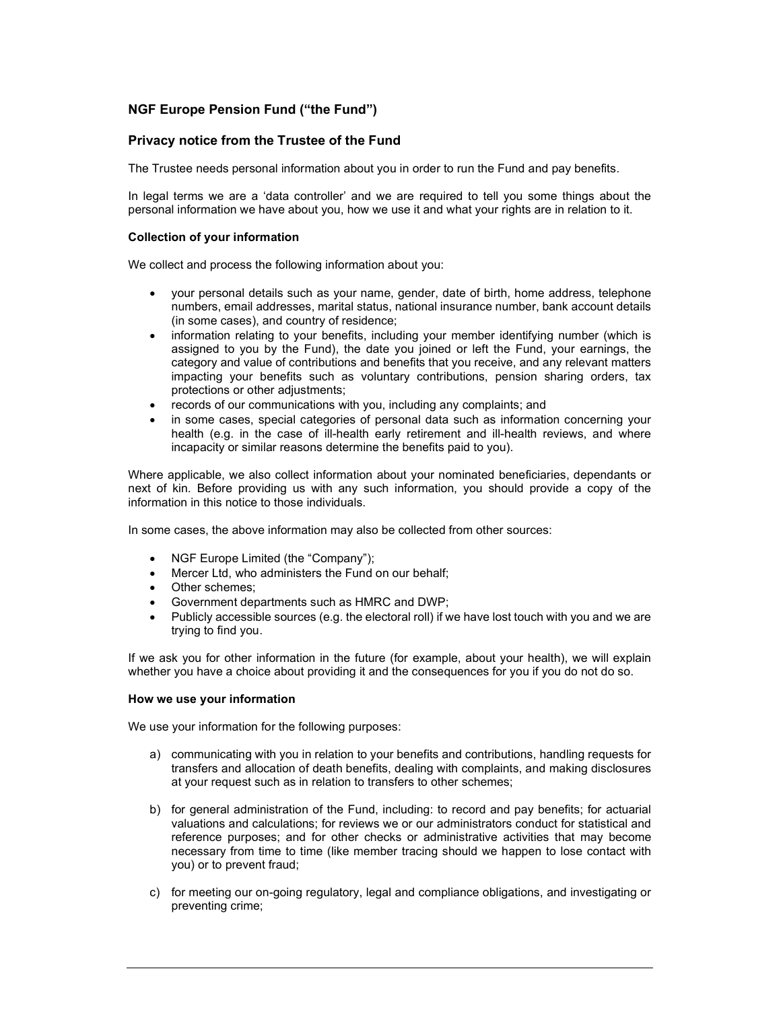# NGF Europe Pension Fund ("the Fund")

# Privacy notice from the Trustee of the Fund

The Trustee needs personal information about you in order to run the Fund and pay benefits.

In legal terms we are a 'data controller' and we are required to tell you some things about the personal information we have about you, how we use it and what your rights are in relation to it.

# Collection of your information

We collect and process the following information about you:

- your personal details such as your name, gender, date of birth, home address, telephone numbers, email addresses, marital status, national insurance number, bank account details (in some cases), and country of residence;
- information relating to your benefits, including your member identifying number (which is assigned to you by the Fund), the date you joined or left the Fund, your earnings, the category and value of contributions and benefits that you receive, and any relevant matters impacting your benefits such as voluntary contributions, pension sharing orders, tax protections or other adjustments;
- records of our communications with you, including any complaints; and
- in some cases, special categories of personal data such as information concerning your health (e.g. in the case of ill-health early retirement and ill-health reviews, and where incapacity or similar reasons determine the benefits paid to you).

Where applicable, we also collect information about your nominated beneficiaries, dependants or next of kin. Before providing us with any such information, you should provide a copy of the information in this notice to those individuals.

In some cases, the above information may also be collected from other sources:

- NGF Europe Limited (the "Company");
- Mercer Ltd, who administers the Fund on our behalf:
- Other schemes;
- Government departments such as HMRC and DWP;
- Publicly accessible sources (e.g. the electoral roll) if we have lost touch with you and we are trying to find you.

If we ask you for other information in the future (for example, about your health), we will explain whether you have a choice about providing it and the consequences for you if you do not do so.

# How we use your information

We use your information for the following purposes:

- a) communicating with you in relation to your benefits and contributions, handling requests for transfers and allocation of death benefits, dealing with complaints, and making disclosures at your request such as in relation to transfers to other schemes;
- b) for general administration of the Fund, including: to record and pay benefits; for actuarial valuations and calculations; for reviews we or our administrators conduct for statistical and reference purposes; and for other checks or administrative activities that may become necessary from time to time (like member tracing should we happen to lose contact with you) or to prevent fraud;
- c) for meeting our on-going regulatory, legal and compliance obligations, and investigating or preventing crime;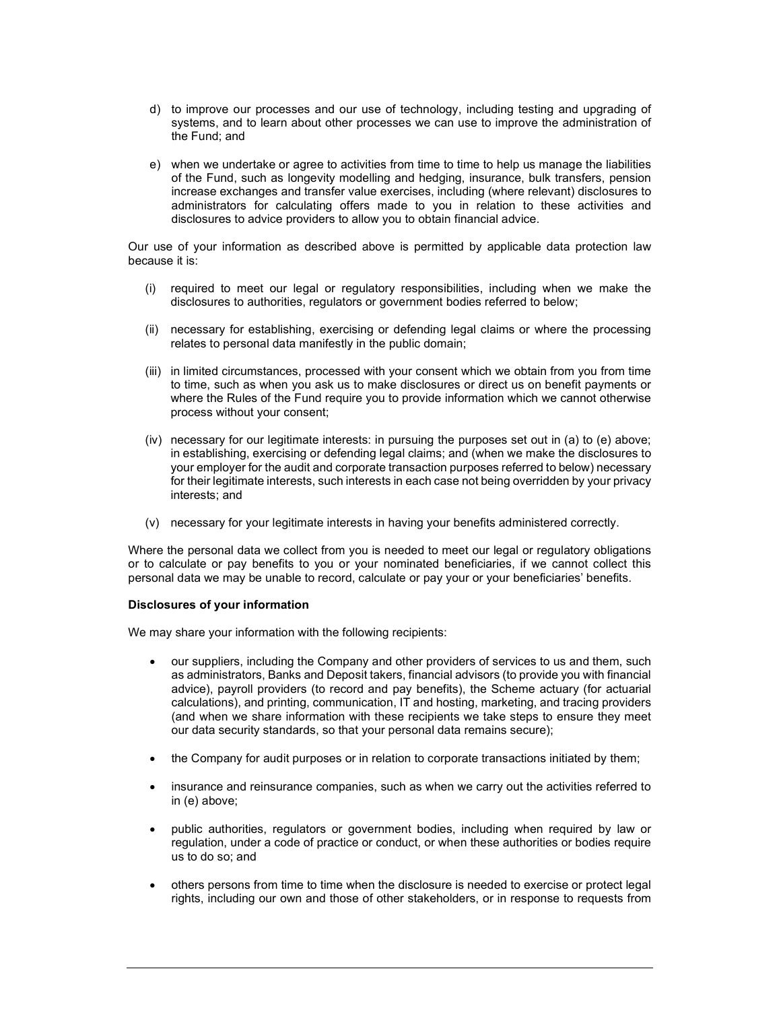- d) to improve our processes and our use of technology, including testing and upgrading of systems, and to learn about other processes we can use to improve the administration of the Fund; and
- e) when we undertake or agree to activities from time to time to help us manage the liabilities of the Fund, such as longevity modelling and hedging, insurance, bulk transfers, pension increase exchanges and transfer value exercises, including (where relevant) disclosures to administrators for calculating offers made to you in relation to these activities and disclosures to advice providers to allow you to obtain financial advice.

Our use of your information as described above is permitted by applicable data protection law because it is:

- (i) required to meet our legal or regulatory responsibilities, including when we make the disclosures to authorities, regulators or government bodies referred to below;
- (ii) necessary for establishing, exercising or defending legal claims or where the processing relates to personal data manifestly in the public domain;
- (iii) in limited circumstances, processed with your consent which we obtain from you from time to time, such as when you ask us to make disclosures or direct us on benefit payments or where the Rules of the Fund require you to provide information which we cannot otherwise process without your consent;
- (iv) necessary for our legitimate interests: in pursuing the purposes set out in (a) to (e) above; in establishing, exercising or defending legal claims; and (when we make the disclosures to your employer for the audit and corporate transaction purposes referred to below) necessary for their legitimate interests, such interests in each case not being overridden by your privacy interests; and
- (v) necessary for your legitimate interests in having your benefits administered correctly.

Where the personal data we collect from you is needed to meet our legal or regulatory obligations or to calculate or pay benefits to you or your nominated beneficiaries, if we cannot collect this personal data we may be unable to record, calculate or pay your or your beneficiaries' benefits.

# Disclosures of your information

We may share your information with the following recipients:

- our suppliers, including the Company and other providers of services to us and them, such as administrators, Banks and Deposit takers, financial advisors (to provide you with financial advice), payroll providers (to record and pay benefits), the Scheme actuary (for actuarial calculations), and printing, communication, IT and hosting, marketing, and tracing providers (and when we share information with these recipients we take steps to ensure they meet our data security standards, so that your personal data remains secure);
- the Company for audit purposes or in relation to corporate transactions initiated by them;
- insurance and reinsurance companies, such as when we carry out the activities referred to in (e) above;
- public authorities, regulators or government bodies, including when required by law or regulation, under a code of practice or conduct, or when these authorities or bodies require us to do so; and
- others persons from time to time when the disclosure is needed to exercise or protect legal rights, including our own and those of other stakeholders, or in response to requests from